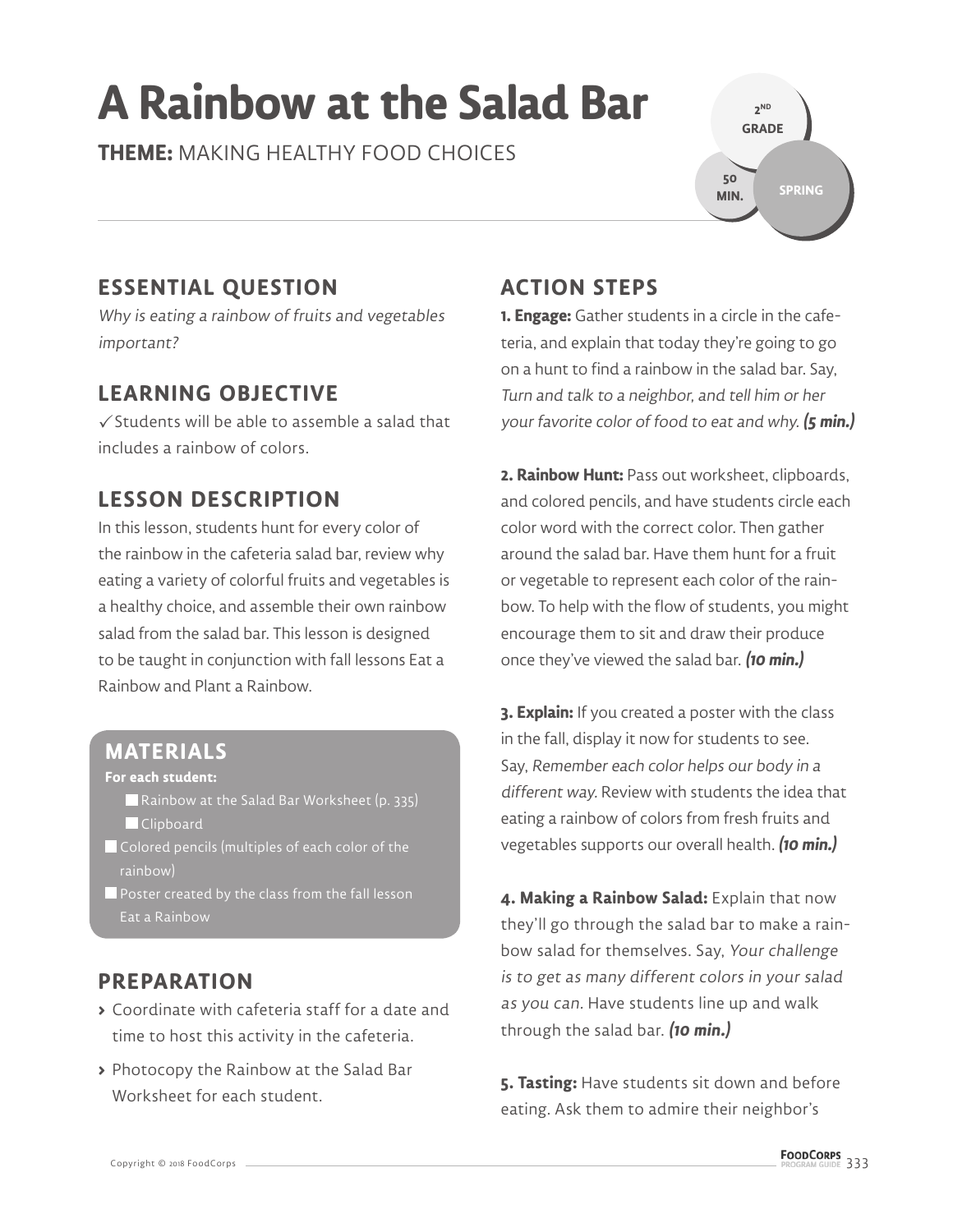# **A Rainbow at the Salad Bar**

**THEME:** MAKING HEALTHY FOOD CHOICES

**2 ND GRADE SPRING 50 MIN.**

#### **ESSENTIAL QUESTION**

Why is eating a rainbow of fruits and vegetables important?

#### **LEARNING OBJECTIVE**

 $\checkmark$  Students will be able to assemble a salad that includes a rainbow of colors.

#### **LESSON DESCRIPTION**

In this lesson, students hunt for every color of the rainbow in the cafeteria salad bar, review why eating a variety of colorful fruits and vegetables is a healthy choice, and assemble their own rainbow salad from the salad bar. This lesson is designed to be taught in conjunction with fall lessons Eat a Rainbow and Plant a Rainbow.

#### **MATERIALS**

**For each student:** 

- Rainbow at the Salad Bar Worksheet (p. 335) **Clipboard**
- Colored pencils (multiples of each color of the rainbow)
- Poster created by the class from the fall lesson Eat a Rainbow

#### **PREPARATION**

- **>** Coordinate with cafeteria staff for a date and time to host this activity in the cafeteria.
- **>** Photocopy the Rainbow at the Salad Bar Worksheet for each student.

## **ACTION STEPS**

**1. Engage:** Gather students in a circle in the cafeteria, and explain that today they're going to go on a hunt to find a rainbow in the salad bar. Say, Turn and talk to a neighbor, and tell him or her your favorite color of food to eat and why. **(5 min.)**

**2. Rainbow Hunt:** Pass out worksheet, clipboards, and colored pencils, and have students circle each color word with the correct color. Then gather around the salad bar. Have them hunt for a fruit or vegetable to represent each color of the rainbow. To help with the flow of students, you might encourage them to sit and draw their produce once they've viewed the salad bar. **(10 min.)**

**3. Explain:** If you created a poster with the class in the fall, display it now for students to see. Say, Remember each color helps our body in a different way. Review with students the idea that eating a rainbow of colors from fresh fruits and vegetables supports our overall health. **(10 min.)**

**4. Making a Rainbow Salad:** Explain that now they'll go through the salad bar to make a rainbow salad for themselves. Say, Your challenge is to get as many different colors in your salad as you can. Have students line up and walk through the salad bar. **(10 min.)**

**5. Tasting:** Have students sit down and before eating. Ask them to admire their neighbor's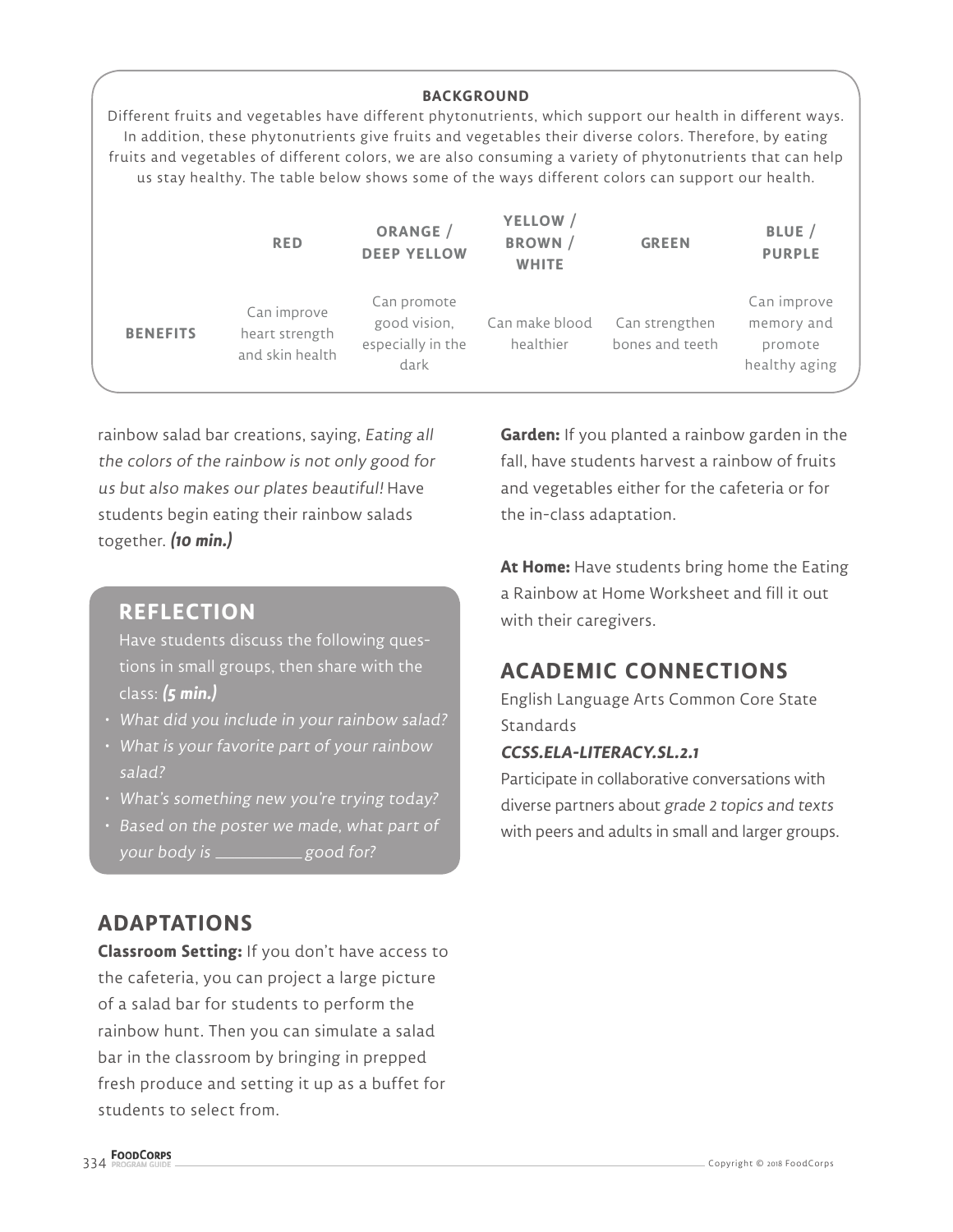|                 |                                                  | <b>BACKGROUND</b>                                        |                                            |                                                                                                                                                                                                                                                                                                                                                                                                                                         |                                                       |
|-----------------|--------------------------------------------------|----------------------------------------------------------|--------------------------------------------|-----------------------------------------------------------------------------------------------------------------------------------------------------------------------------------------------------------------------------------------------------------------------------------------------------------------------------------------------------------------------------------------------------------------------------------------|-------------------------------------------------------|
|                 |                                                  |                                                          |                                            | Different fruits and vegetables have different phytonutrients, which support our health in different ways.<br>In addition, these phytonutrients give fruits and vegetables their diverse colors. Therefore, by eating<br>fruits and vegetables of different colors, we are also consuming a variety of phytonutrients that can help<br>us stay healthy. The table below shows some of the ways different colors can support our health. |                                                       |
|                 | <b>RED</b>                                       | ORANGE /<br><b>DEEP YELLOW</b>                           | YELLOW /<br><b>BROWN</b> /<br><b>WHITE</b> | <b>GREEN</b>                                                                                                                                                                                                                                                                                                                                                                                                                            | BLUE /<br><b>PURPLE</b>                               |
| <b>BENEFITS</b> | Can improve<br>heart strength<br>and skin health | Can promote<br>good vision,<br>especially in the<br>dark | Can make blood<br>healthier                | Can strengthen<br>bones and teeth                                                                                                                                                                                                                                                                                                                                                                                                       | Can improve<br>memory and<br>promote<br>healthy aging |

rainbow salad bar creations, saying, Eating all the colors of the rainbow is not only good for us but also makes our plates beautiful! Have students begin eating their rainbow salads together. **(10 min.)**

#### **REFLECTION**

Have students discuss the following questions in small groups, then share with the class: **(5 min.)**

- What did you include in your rainbow salad?
- What is your favorite part of your rainbow salad?
- What's something new you're trying today?
- Based on the poster we made, what part of your body is \_\_\_\_\_\_\_\_\_\_\_\_\_\_ good for?

#### **ADAPTATIONS**

**Classroom Setting:** If you don't have access to the cafeteria, you can project a large picture of a salad bar for students to perform the rainbow hunt. Then you can simulate a salad bar in the classroom by bringing in prepped fresh produce and setting it up as a buffet for students to select from.

**Garden:** If you planted a rainbow garden in the fall, have students harvest a rainbow of fruits and vegetables either for the cafeteria or for the in-class adaptation.

**At Home:** Have students bring home the Eating a Rainbow at Home Worksheet and fill it out with their caregivers.

### **ACADEMIC CONNECTIONS**

English Language Arts Common Core State **Standards** 

#### **CCSS.ELA-LITERACY.SL.2.1**

Participate in collaborative conversations with diverse partners about grade 2 topics and texts with peers and adults in small and larger groups.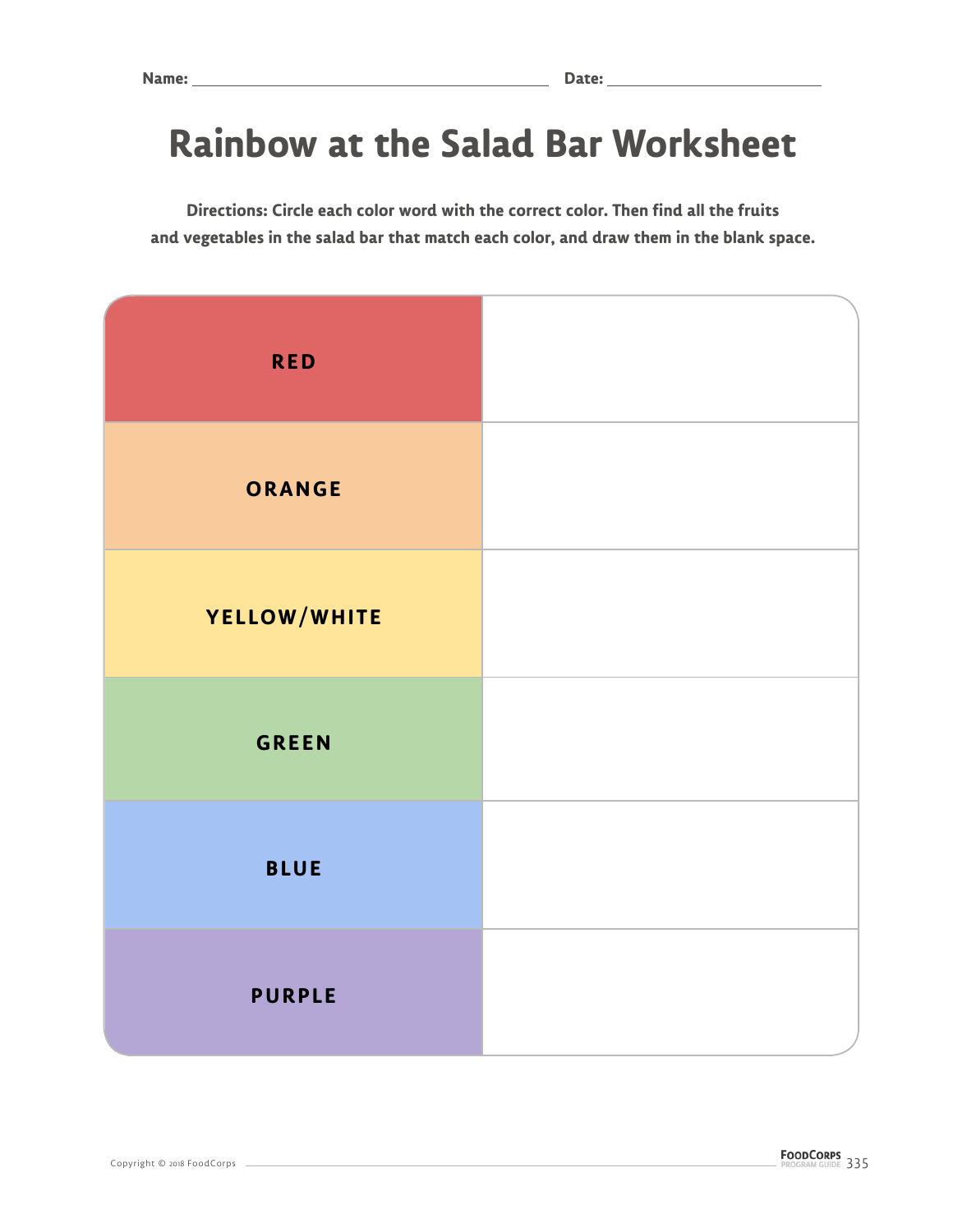# **Rainbow at the Salad Bar Worksheet**

**Directions: Circle each color word with the correct color. Then find all the fruits and vegetables in the salad bar that match each color, and draw them in the blank space.** 

| <b>RED</b>    |  |
|---------------|--|
| ORANGE        |  |
| YELLOW/WHITE  |  |
| <b>GREEN</b>  |  |
| <b>BLUE</b>   |  |
| <b>PURPLE</b> |  |